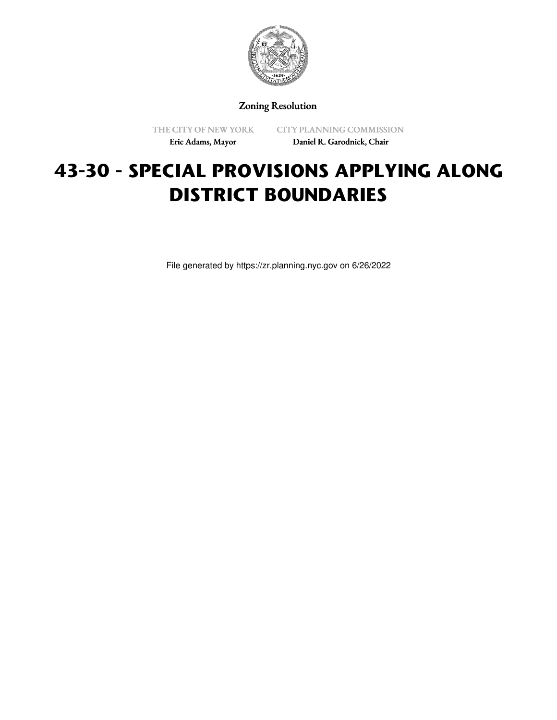

Zoning Resolution

THE CITY OF NEW YORK Eric Adams, Mayor

CITY PLANNING COMMISSION Daniel R. Garodnick, Chair

# **43-30 - SPECIAL PROVISIONS APPLYING ALONG DISTRICT BOUNDARIES**

File generated by https://zr.planning.nyc.gov on 6/26/2022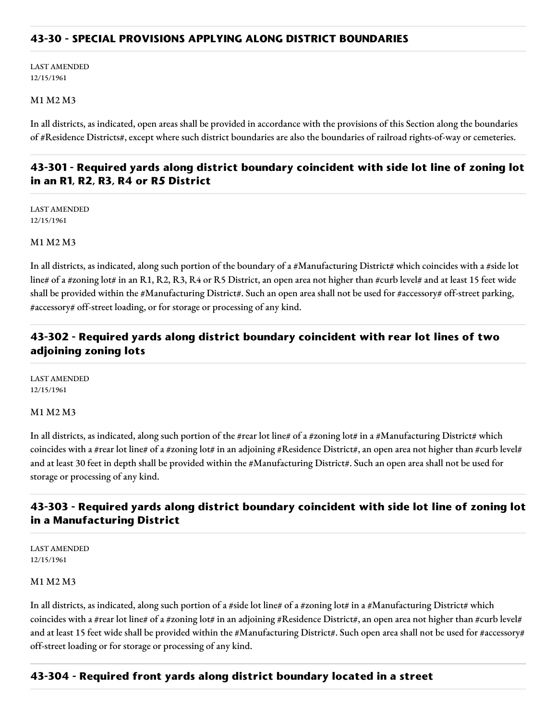## **43-30 - SPECIAL PROVISIONS APPLYING ALONG DISTRICT BOUNDARIES**

LAST AMENDED 12/15/1961

#### M1 M2 M3

In all districts, as indicated, open areas shall be provided in accordance with the provisions of this Section along the boundaries of #Residence Districts#, except where such district boundaries are also the boundaries of railroad rights-of-way or cemeteries.

# **43-301 - Required yards along district boundary coincident with side lot line of zoning lot in an R1, R2, R3, R4 or R5 District**

LAST AMENDED 12/15/1961

#### M1 M2 M3

In all districts, as indicated, along such portion of the boundary of a #Manufacturing District# which coincides with a #side lot line# of a #zoning lot# in an R1, R2, R3, R4 or R5 District, an open area not higher than #curb level# and at least 15 feet wide shall be provided within the #Manufacturing District#. Such an open area shall not be used for #accessory# off-street parking, #accessory# off-street loading, or for storage or processing of any kind.

# **43-302 - Required yards along district boundary coincident with rear lot lines of two adjoining zoning lots**

LAST AMENDED 12/15/1961

#### M1 M2 M3

In all districts, as indicated, along such portion of the #rear lot line# of a #zoning lot# in a #Manufacturing District# which coincides with a #rear lot line# of a #zoning lot# in an adjoining #Residence District#, an open area not higher than #curb level# and at least 30 feet in depth shall be provided within the #Manufacturing District#. Such an open area shall not be used for storage or processing of any kind.

# **43-303 - Required yards along district boundary coincident with side lot line of zoning lot in a Manufacturing District**

LAST AMENDED 12/15/1961

#### M1 M2 M3

In all districts, as indicated, along such portion of a #side lot line# of a #zoning lot# in a #Manufacturing District# which coincides with a #rear lot line# of a #zoning lot# in an adjoining #Residence District#, an open area not higher than #curb level# and at least 15 feet wide shall be provided within the #Manufacturing District#. Such open area shall not be used for #accessory# off-street loading or for storage or processing of any kind.

#### **43-304 - Required front yards along district boundary located in a street**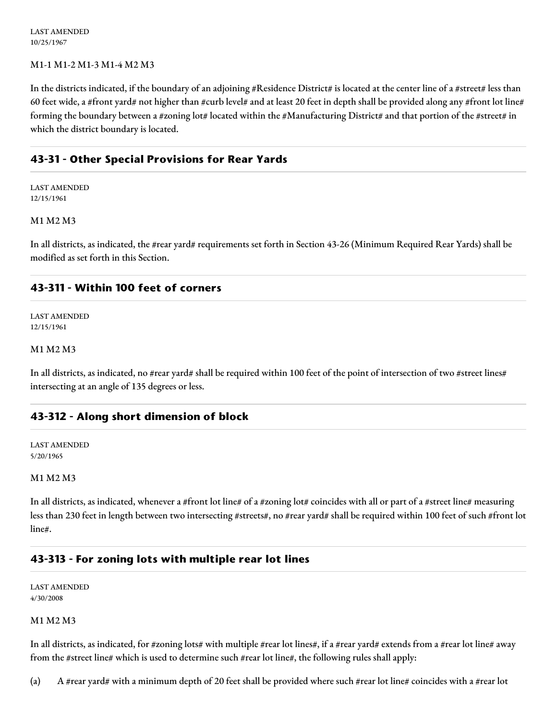LAST AMENDED 10/25/1967

### M1-1 M1-2 M1-3 M1-4 M2 M3

In the districts indicated, if the boundary of an adjoining #Residence District# is located at the center line of a #street# less than 60 feet wide, a #front yard# not higher than #curb level# and at least 20 feet in depth shall be provided along any #front lot line# forming the boundary between a #zoning lot# located within the #Manufacturing District# and that portion of the #street# in which the district boundary is located.

## **43-31 - Other Special Provisions for Rear Yards**

LAST AMENDED 12/15/1961

#### M1 M2 M3

In all districts, as indicated, the #rear yard# requirements set forth in Section 43-26 (Minimum Required Rear Yards) shall be modified as set forth in this Section.

## **43-311 - Within 100 feet of corners**

LAST AMENDED 12/15/1961

### M1 M2 M3

In all districts, as indicated, no #rear yard# shall be required within 100 feet of the point of intersection of two #street lines# intersecting at an angle of 135 degrees or less.

## **43-312 - Along short dimension of block**

LAST AMENDED 5/20/1965

#### M1 M2 M3

In all districts, as indicated, whenever a #front lot line# of a #zoning lot# coincides with all or part of a #street line# measuring less than 230 feet in length between two intersecting #streets#, no #rear yard# shall be required within 100 feet of such #front lot line#.

## **43-313 - For zoning lots with multiple rear lot lines**

LAST AMENDED 4/30/2008

#### M1 M2 M3

In all districts, as indicated, for #zoning lots# with multiple #rear lot lines#, if a #rear yard# extends from a #rear lot line# away from the #street line# which is used to determine such #rear lot line#, the following rules shall apply:

(a) A #rear yard# with a minimum depth of 20 feet shall be provided where such #rear lot line# coincides with a #rear lot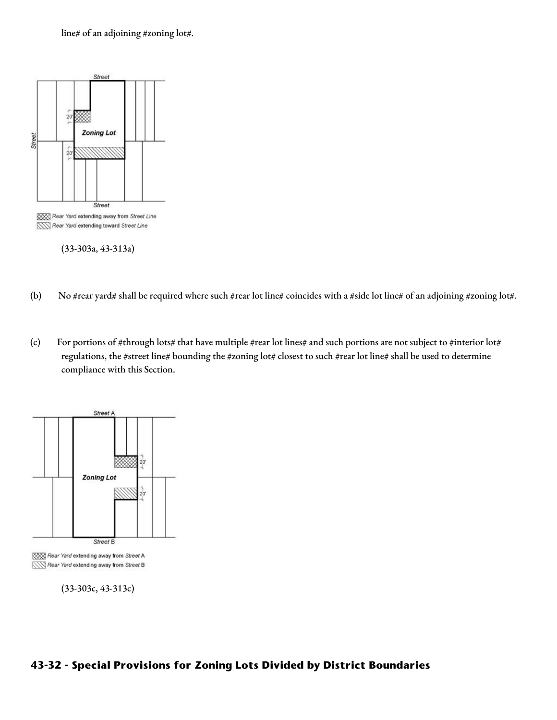line# of an adjoining #zoning lot#.



(33-303a, 43-313a)

- (b) No #rear yard# shall be required where such #rear lot line# coincides with a #side lot line# of an adjoining #zoning lot#.
- (c) For portions of #through lots# that have multiple #rear lot lines# and such portions are not subject to #interior lot# regulations, the #street line# bounding the #zoning lot# closest to such #rear lot line# shall be used to determine compliance with this Section.



XXX Rear Yard extending away from Street A Rear Yard extending away from Street B

(33-303c, 43-313c)